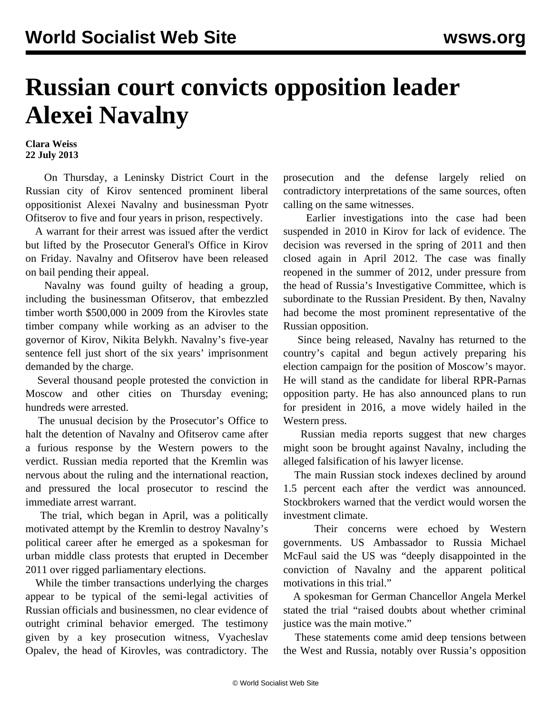## **Russian court convicts opposition leader Alexei Navalny**

**Clara Weiss 22 July 2013**

 On Thursday, a Leninsky District Court in the Russian city of Kirov sentenced prominent liberal oppositionist Alexei Navalny and businessman Pyotr Ofitserov to five and four years in prison, respectively.

 A warrant for their arrest was issued after the verdict but lifted by the Prosecutor General's Office in Kirov on Friday. Navalny and Ofitserov have been released on bail pending their appeal.

 Navalny was found guilty of heading a group, including the businessman Ofitserov, that embezzled timber worth \$500,000 in 2009 from the Kirovles state timber company while working as an adviser to the governor of Kirov, Nikita Belykh. Navalny's five-year sentence fell just short of the six years' imprisonment demanded by the charge.

 Several thousand people protested the conviction in Moscow and other cities on Thursday evening; hundreds were arrested.

 The unusual decision by the Prosecutor's Office to halt the detention of Navalny and Ofitserov came after a furious response by the Western powers to the verdict. Russian media reported that the Kremlin was nervous about the ruling and the international reaction, and pressured the local prosecutor to rescind the immediate arrest warrant.

 The trial, which began in April, was a politically motivated attempt by the Kremlin to destroy Navalny's political career after he emerged as a spokesman for urban middle class protests that erupted in December 2011 over rigged parliamentary elections.

 While the timber transactions underlying the charges appear to be typical of the semi-legal activities of Russian officials and businessmen, no clear evidence of outright criminal behavior emerged. The testimony given by a key prosecution witness, Vyacheslav Opalev, the head of Kirovles, was contradictory. The prosecution and the defense largely relied on contradictory interpretations of the same sources, often calling on the same witnesses.

 Earlier investigations into the case had been suspended in 2010 in Kirov for lack of evidence. The decision was reversed in the spring of 2011 and then closed again in April 2012. The case was finally reopened in the summer of 2012, under pressure from the head of Russia's Investigative Committee, which is subordinate to the Russian President. By then, Navalny had become the most prominent representative of the Russian opposition.

 Since being released, Navalny has returned to the country's capital and begun actively preparing his election campaign for the position of Moscow's mayor. He will stand as the candidate for liberal RPR-Parnas opposition party. He has also announced plans to run for president in 2016, a move widely hailed in the Western press.

 Russian media reports suggest that new charges might soon be brought against Navalny, including the alleged falsification of his lawyer license.

 The main Russian stock indexes declined by around 1.5 percent each after the verdict was announced. Stockbrokers warned that the verdict would worsen the investment climate.

 Their concerns were echoed by Western governments. US Ambassador to Russia Michael McFaul said the US was "deeply disappointed in the conviction of Navalny and the apparent political motivations in this trial."

 A spokesman for German Chancellor Angela Merkel stated the trial "raised doubts about whether criminal justice was the main motive."

 These statements come amid deep tensions between the West and Russia, notably over Russia's opposition